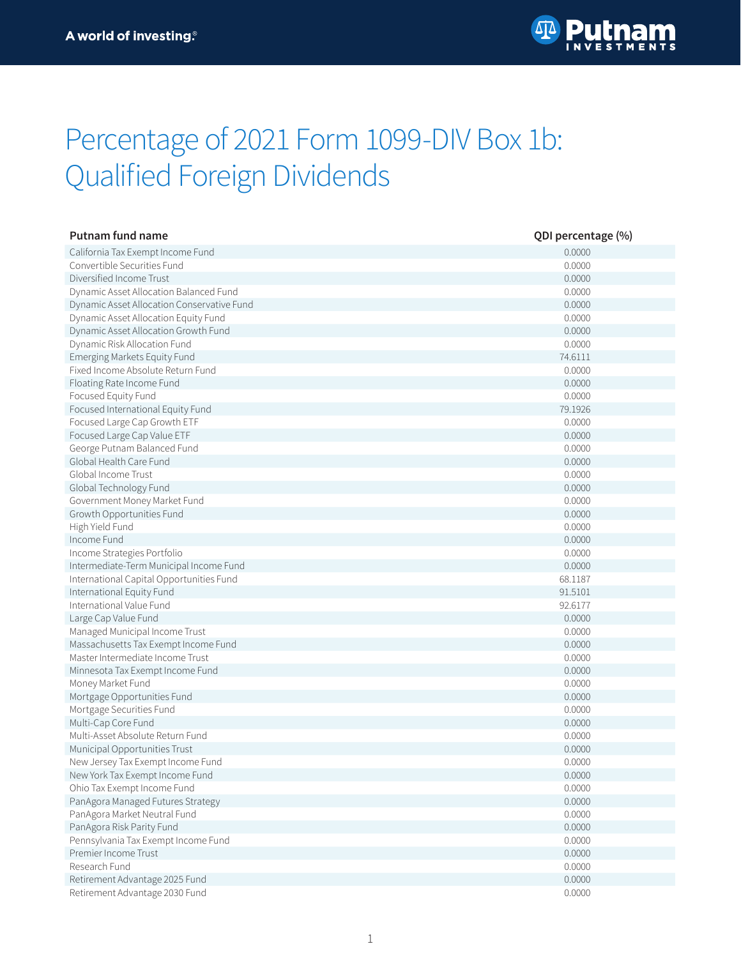

## Percentage of 2021 Form 1099-DIV Box 1b: Qualified Foreign Dividends

| Putnam fund name                           | QDI percentage (%) |
|--------------------------------------------|--------------------|
| California Tax Exempt Income Fund          | 0.0000             |
| Convertible Securities Fund                | 0.0000             |
| Diversified Income Trust                   | 0.0000             |
| Dynamic Asset Allocation Balanced Fund     | 0.0000             |
| Dynamic Asset Allocation Conservative Fund | 0.0000             |
| Dynamic Asset Allocation Equity Fund       | 0.0000             |
| Dynamic Asset Allocation Growth Fund       | 0.0000             |
| Dynamic Risk Allocation Fund               | 0.0000             |
| Emerging Markets Equity Fund               | 74.6111            |
| Fixed Income Absolute Return Fund          | 0.0000             |
| Floating Rate Income Fund                  | 0.0000             |
| Focused Equity Fund                        | 0.0000             |
| Focused International Equity Fund          | 79.1926            |
| Focused Large Cap Growth ETF               | 0.0000             |
| Focused Large Cap Value ETF                | 0.0000             |
| George Putnam Balanced Fund                | 0.0000             |
| Global Health Care Fund                    | 0.0000             |
| Global Income Trust                        | 0.0000             |
| Global Technology Fund                     | 0.0000             |
| Government Money Market Fund               | 0.0000             |
| Growth Opportunities Fund                  | 0.0000             |
| High Yield Fund                            | 0.0000             |
| Income Fund                                | 0.0000             |
| Income Strategies Portfolio                | 0.0000             |
| Intermediate-Term Municipal Income Fund    | 0.0000             |
| International Capital Opportunities Fund   | 68.1187            |
| International Equity Fund                  | 91.5101            |
| International Value Fund                   | 92.6177            |
| Large Cap Value Fund                       | 0.0000             |
| Managed Municipal Income Trust             | 0.0000             |
| Massachusetts Tax Exempt Income Fund       | 0.0000             |
| Master Intermediate Income Trust           | 0.0000             |
| Minnesota Tax Exempt Income Fund           | 0.0000             |
| Money Market Fund                          | 0.0000             |
| Mortgage Opportunities Fund                | 0.0000             |
| Mortgage Securities Fund                   | 0.0000             |
| Multi-Cap Core Fund                        | 0.0000             |
| Multi-Asset Absolute Return Fund           | 0.0000             |
| Municipal Opportunities Trust              | 0.0000             |
| New Jersey Tax Exempt Income Fund          | 0.0000             |
| New York Tax Exempt Income Fund            | 0.0000             |
| Ohio Tax Exempt Income Fund                | 0.0000             |
| PanAgora Managed Futures Strategy          | 0.0000             |
| PanAgora Market Neutral Fund               | 0.0000             |
| PanAgora Risk Parity Fund                  | 0.0000             |
| Pennsylvania Tax Exempt Income Fund        | 0.0000             |
| Premier Income Trust                       | 0.0000             |
| Research Fund                              | 0.0000             |
| Retirement Advantage 2025 Fund             | 0.0000             |
| Retirement Advantage 2030 Fund             | 0.0000             |